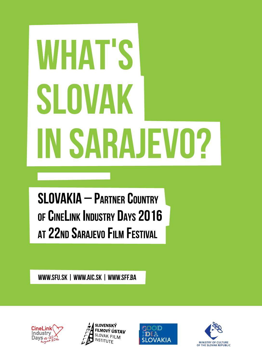# **WHAT'S** SLOVAK **IN SARAJEVO?**

**SLOVAKIA - PARTNER COUNTRY** OF CINELINK INDUSTRY DAYS 2016 AT 22ND SARAJEVO FILM FESTIVAL

**www.sfu.sk | www.aic.sk | www.sff.ba** 







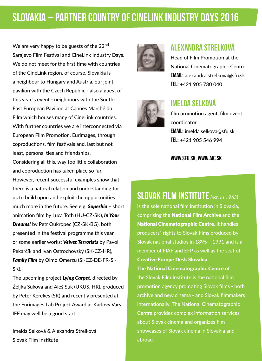## **SLOVAKIA – PARTNER COUNTRY OF CINELINK INDUSTRY DAYS 2016**

We are very happy to be guests of the 22<sup>nd</sup> Sarajevo Film Festival and CineLink Industry Days. We do not meet for the first time with countries of the CineLink region, of course. Slovakia is a neighbour to Hungary and Austria, our joint pavilion with the Czech Republic - also a guest of this year´s event - neighbours with the South-East European Pavilion at Cannes Marché du Film which houses many of CineLink countries. With further countries we are interconnected via European Film Promotion, Eurimages, through coproductions, film festivals and, last but not least, personal ties and friendships.

Considering all this, way too little collaboration and coproduction has taken place so far. However, recent successful examples show that there is a natural relation and understanding for us to build upon and exploit the opportunities much more in the future. See e.g. *Superbia* – short animation film by Luca Tóth (HU-CZ-SK), *In Your Dreams!* by Petr Oukropec (CZ-SK-BG), both presented in the festival programme this year, or some earlier works: *Velvet Terrorists* by Pavol Pekarčík and Ivan Ostrochovský (SK-CZ-HR), *Family Film* by Olmo Omerzu (SI-CZ-DE-FR-SI-SK).

The upcoming project *Lying Carpet*, directed by Željka Sukova and Aleš Suk (UKUS, HR), produced by Peter Kerekes (SK) and recently presented at the Eurimages Lab Project Award at Karlovy Vary IFF may well be a good start.

Imelda Selková & Alexandra Strelková Slovak Film Institute



#### **Alexandra Strelková**

Head of Film Promotion at the National Cinematographic Centre **email:** alexandra.strelkova@sfu.sk **tel:** +421 905 730 040



#### **Imelda Selková**

film promotion agent, film event coordinator **email:** imelda.selkova@sfu.sk **tel:** +421 905 546 994

#### **www.sfu.sk, www.aic.sk**

#### **Slovak Film Institute***(est. in 1963)*

is the sole national film institution in Slovakia, comprising the National Film Archive and the National Cinematographic Centre. It handles producers´ rights to Slovak films produced by Slovak national studios in 1895 – 1991 and is a member of FIAF and EFP as well as the seat of Creative Europe Desk Slovakia.

The National Cinematographic Centre of the Slovak Film Institute is the national film promotion agency promoting Slovak films - both archive and new cinema - and Slovak filmmakers internationally. The National Cinematographic Centre provides complex information services about Slovak cinema and organizes film showcases of Slovak cinema in Slovakia and abroad.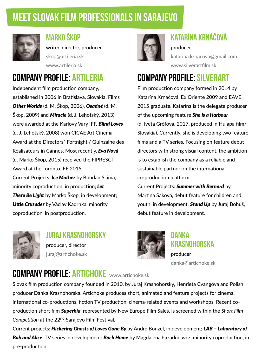## **MEET SLOVAK FILM PROFESSIONALS IN SARAJEVO**



## **Marko Škop**

writer, director, producer skop@artileria.sk www.artileria.sk

## **Company profile: ARTILERIA**

Independent film production company, established in 2006 in Bratislava, Slovakia. Films *Other Worlds* (d. M. Škop, 2006), *Osadné* (d. M. Škop, 2009) and *Miracle* (d. J. Lehotský, 2013) were awarded at the Karlovy Vary IFF. *Blind Loves* (d. J. Lehotský, 2008) won CICAE Art Cinema Award at the Directors´ Fortnight / Quinzaine des Réalisateurs in Cannes. Most recently, *Eva Nová* (d. Marko Škop, 2015) received the FIPRESCI Award at the Toronto IFF 2015.

Current Projects: *Ice Mother* by Bohdan Sláma, minority coproduction, in production; *Let There Be Light* by Marko Škop, in development; *Little Crusader* by Václav Kadrnka, minority coproduction, in postproduction.



**juraj krasnohorsky** producer, director juraj@artichoke.sk



## **Katarína Krnáčová**

producer katarina.krnacova@gmail.com www.silverartfilm.sk

## **Company profile: SILVERART**

Film production company formed in 2014 by Katarína Krnáčová, Ex Oriente 2009 and EAVE 2015 graduate. Katarína is the delegate producer of the upcoming feature *She Is a Harbour* (d. Iveta Grófová, 2017, produced in Hulapa film/ Slovakia). Currently, she is developing two feature films and a TV series. Focusing on feature debut directors with strong visual content, the ambition is to establish the company as a reliable and sustainable partner on the international co-production platform.

Current Projects: *Summer with Bernard* by Martina Saková, debut feature for children and youth, in development; *Stand Up* by Juraj Bohuš, debut feature in development.



#### **Danka Krasnohorska** producer

danka@artichoke.sk

## **Company profile: ARTICHOKE** www.artichoke.sk

Slovak film production company founded in 2010, by Juraj Krasnohorsky, Henrieta Cvangova and Polish producer Danka Krasnohorska. Artichoke produces short, animated and feature projects for cinema, international co-productions, fiction TV production, cinema-related events and workshops. Recent coproduction short film *Superbia*, represented by New Europe Film Sales, is screened within the *Short Film Competition* at the 22nd Sarajevo Film Festival.

Current projects: *Flickering Ghosts of Loves Gone By* by André Bonzel, in development; *LAB – Laboratory of Bob and Alice*, TV series in development; *Back Home* by Magdalena Łazarkieiwcz, minority coproduction, in pre-production.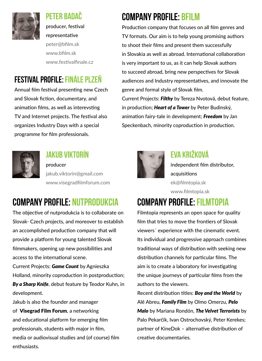

## **Peter Badač**

producer, festival representative peter@bfilm.sk www.bfilm.sk www.festivalfinale.cz

## **Festival profile: Finále Plzeň**

Annual film festival presenting new Czech and Slovak fiction, documentary, and animation films, as well as interevsting TV and Internet projects. The festival also organizes Industry Days with a special programme for film professionals.



#### **Jakub Viktorín**

producer jakub.viktorin@gmail.com www.visegradfilmforum.com

## **Company profile: nutprodukcia**

The objective of nutprodukcia is to collaborate on Slovak- Czech projects, and moreover to establish an accomplished production company that will provide a platform for young talented Slovak filmmakers, opening up new possibilities and access to the international scene.

Current Projects: *Game Count* by Agnieszka Holland, minority coproduction in postproduction; *By a Sharp Knife*, debut feature by Teodor Kuhn, in

development.

Jakub is also the founder and manager of Visegrad Film Forum, a networking and educational platform for emerging film professionals, students with major in film, media or audiovisual studies and (of course) film enthusiasts.

## **Company profile: BFILM**

Production company that focuses on all film genres and TV formats. Our aim is to help young promising authors to shoot their films and present them successfully in Slovakia as well as abroad. International collaboration is very important to us, as it can help Slovak authors to succeed abroad, bring new perspectives for Slovak audiences and Industry representatives, and innovate the genre and formal style of Slovak film. Current Projects: *Filthy* by Tereza Nvotová, debut feature,

in production; *Heart of a Tower* by Peter Budinský, animation fairy-tale in development; *Freedom* by Jan Speckenbach, minority coproduction in production.



#### **Eva Križková**

independent film distributor, acquisitions ek@filmtopia.sk www.filmtopia.sk

## **Company profile: FILMTOPIA**

Filmtopia represents an open space for quality film that tries to move the frontiers of Slovak viewers´ experience with the cinematic event. Its individual and progressive approach combines traditional ways of distribution with seeking new distribution channels for particular films. The aim is to create a laboratory for investigating the unique journeys of particular films from the authors to the viewers.

Recent distribution titles: *Boy and the World* by Alê Abreu, *Family Film* by Olmo Omerzu, *Pelo Malo* by Mariana Rondón, *The Velvet Terrorists* by Palo Pekarčík, Ivan Ostrochovský, Peter Kerekes; partner of KineDok – alternative distribution of creative documentaries.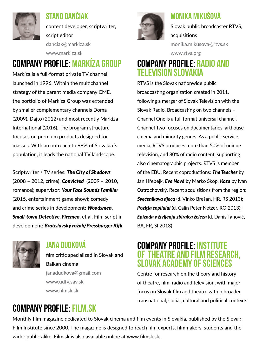

#### **Stano Dančiak**

content developer, scriptwriter, script editor danciak@markiza.sk

#### **Company profile: Markíza Group** www.markiza.sk

Markíza is a full-format private TV channel launched in 1996. Within the multichannel strategy of the parent media company CME, the portfolio of Markíza Group was extended by smaller complementary channels Doma (2009), Dajto (2012) and most recently Markíza International (2016). The program structure focuses on premium products designed for masses. With an outreach to 99% of Slovakia´s population, it leads the national TV landscape.

Scriptwriter / TV series: *The City of Shadows* (2008 – 2012, crime); *Convicted* (2009 – 2010, romance); supervisor: *Your Face Sounds Familiar* (2015, entertainment game show); comedy and crime series in development: *Woodsmen, Small-town Detective, Firemen*, et al. Film script in development: *Bratislavský rožok/Pressburger Kifli*



#### **Jana Dudková**

film critic specialized in Slovak and Balkan cinema janadudkova@gmail.com www.udfv.sav.sk www.filmsk.sk



#### **Monika Mikušová**

Slovak public broadcaster RTVS, acquisitions

monika.mikusova@rtvs.sk

www.rtvs.org

#### **Company profile: Radio and Television Slovakia**

RTVS is the Slovak nationwide public broadcasting organization created in 2011, following a merger of Slovak Television with the Slovak Radio. Broadcasting on two channels – Channel One is a full format universal channel, Channel Two focuses on documentaries, arthouse cinema and minority genres. As a public service media, RTVS produces more than 50% of unique television, and 80% of radio content, supporting also cinematographic projects. RTVS is member of the EBU. Recent coproductions: *The Teacher* by Jan Hřebejk, *Eva Nová* by Marko Škop, *Koza* by Ivan Ostrochovský. Recent acquisitions from the region: *Svećenikova djeca* (d. Vinko Brešan, HR, RS 2013); *Poziția copilului* (d. Calin Peter Netzer, RO 2013); *Epizoda v življenju zbiralca železa* (d. Danis Tanović, BA, FR, SI 2013)

#### **Company profile: Institute of Theatre and Film Research, Slovak Academy of Sciences**

Centre for research on the theory and history of theatre, film, radio and television, with major focus on Slovak film and theatre within broader transnational, social, cultural and political contexts.

## **Company profile: Film.sk**

Monthly film magazine dedicated to Slovak cinema and film events in Slovakia, published by the Slovak Film Institute since 2000. The magazine is designed to reach film experts, filmmakers, students and the wider public alike. Film.sk is also available online at www.filmsk.sk.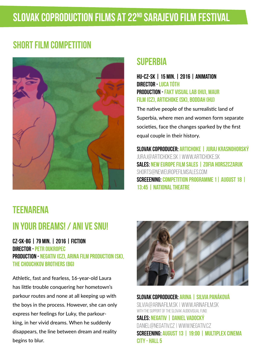## **SHORT FILM COMPETITION**



#### **SUPERBIA**

**HU-CZ-SK | 15 min. | 2016 | animation director - Luca Tóth production - Fakt Visual Lab (HU), Maur Film (CZ), Artichoke (SK), Boddah (HU)**

The native people of the surrealistic land of Superbia, where men and women form separate societies, face the changes sparked by the first equal couple in their history.

**Slovak coproducer: Artichoke | Juraj Krasnohorský** juraj@artichoke.sk | www.artichoke.sk **Sales: New Europe Film Sales | Zofia Horszczaruk** shorts@neweuropefilmsales.com **Screeening: Competition Programme 1| August 18 | 13:45 | National Theatre**

#### **TEENARENA**

#### **IN YOUR DREAMS! / Ani ve snu!**

**CZ-SK-BG | 79 min. | 2016 | fiction director - Petr Oukropec production - Negativ (CZ), ARINA Film Production (SK), The Chouchkov Brothers (BG)**

Athletic, fast and fearless, 16-year-old Laura has little trouble conquering her hometown's parkour routes and none at all keeping up with the boys in the process. However, she can only express her feelings for Luky, the parkourking, in her vivid dreams. When he suddenly disappears, the line between dream and reality begins to blur.



**Slovak coproducer: ARINA | Silvia Panáková** silvia@arinafilm.sk | www.arinafilm.sk with the support of the Slovak Audiovisual Fund **Sales: Negativ | Daniel Vadocký** daniel@negativ.cz | www.negativ.cz **Screeening: August 13 | 19:00 | Multiplex Cinema City - Hall 5**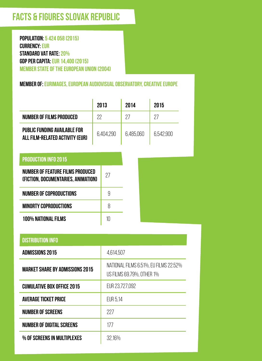## **FACTS & FIGURES Slovak Republic**

**Population: 5 424 058 (2015) Currency: EUR Standard VAT Rate: 20% GDP per capita: EUR 14,400 (2015) Member state of the European Union (2004)**

**Member of: Eurimages, European Audiovisual Observatory, Creative Europe**

|                                                                         | 2013      |    | 2014      |  | 2015      |  |
|-------------------------------------------------------------------------|-----------|----|-----------|--|-----------|--|
| NUMBER OF FILMS PRODUCED                                                | 22        |    | 27        |  | 27        |  |
| PUBLIC FUNDING AVAILABLE FOR<br>ALL FILM-RELATED ACTIVITY (EUR)         | 6.404.290 |    | 6.485.060 |  | 6.542.900 |  |
| <b>PRODUCTION INFO 2015</b>                                             |           |    |           |  |           |  |
| NUMBER OF FEATURE FILMS PRODUCED<br>(FICTION, DOCUMENTARIES, ANIMATION) |           | 27 |           |  |           |  |
| <b>NUMBER OF COPRODUCTIONS</b>                                          |           | 9  |           |  |           |  |
| <b>MINORTY COPRODUCTIONS</b>                                            |           | 8  |           |  |           |  |
| 100% NATIONAL FILMS                                                     |           | 10 |           |  |           |  |

| <b>DISTRIBUTION INFO</b>               |                                                                    |  |
|----------------------------------------|--------------------------------------------------------------------|--|
| <b>ADMISSIONS 2015</b>                 | 4.614.507                                                          |  |
| <b>MARKET SHARE BY ADMISSIONS 2015</b> | NATIONAL FILMS 6.51%. EU FILMS 22.52%<br>US FILMS 69.79%, OTHER 1% |  |
| <b>CUMULATIVE BOX OFFICE 2015</b>      | EUR 23.727.092                                                     |  |
| <b>AVERAGE TICKET PRICE</b>            | EUR 5.14                                                           |  |
| <b>NUMBER OF SCREENS</b>               | 227                                                                |  |
| NUMBER OF DIGITAL SCREENS              | 177                                                                |  |
| % OF SCREENS IN MULTIPLEXES            | 32.16%                                                             |  |